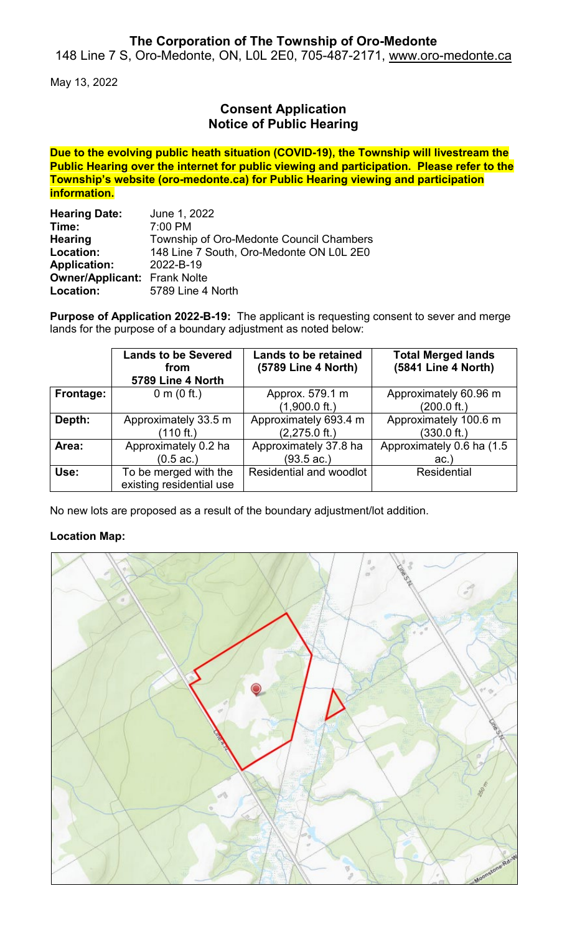# **The Corporation of The Township of Oro-Medonte**

148 Line 7 S, Oro-Medonte, ON, L0L 2E0, 705-487-2171, [www.oro-medonte.ca](http://www.oro-medonte.ca/)

May 13, 2022

# **Consent Application Notice of Public Hearing**

**Due to the evolving public heath situation (COVID-19), the Township will livestream the Public Hearing over the internet for public viewing and participation. Please refer to the Township's website (oro-medonte.ca) for Public Hearing viewing and participation information.**

| <b>Hearing Date:</b>                | June 1, 2022                             |  |  |
|-------------------------------------|------------------------------------------|--|--|
| Time:                               | 7:00 PM                                  |  |  |
| <b>Hearing</b>                      | Township of Oro-Medonte Council Chambers |  |  |
| Location:                           | 148 Line 7 South, Oro-Medonte ON L0L 2E0 |  |  |
| <b>Application:</b>                 | 2022-B-19                                |  |  |
| <b>Owner/Applicant: Frank Nolte</b> |                                          |  |  |
| Location:                           | 5789 Line 4 North                        |  |  |

**Purpose of Application 2022-B-19:** The applicant is requesting consent to sever and merge lands for the purpose of a boundary adjustment as noted below:

|           | <b>Lands to be Severed</b><br>from<br>5789 Line 4 North | <b>Lands to be retained</b><br>(5789 Line 4 North) | <b>Total Merged lands</b><br>(5841 Line 4 North) |
|-----------|---------------------------------------------------------|----------------------------------------------------|--------------------------------------------------|
| Frontage: | 0 m $(0 \text{ ft.})$                                   | Approx. 579.1 m                                    | Approximately 60.96 m                            |
|           |                                                         | $(1,900.0 \text{ ft.})$                            | $(200.0 \text{ ft.})$                            |
| Depth:    | Approximately 33.5 m                                    | Approximately 693.4 m                              | Approximately 100.6 m                            |
|           | (110 ft.)                                               | $(2,275.0$ ft.)                                    | $(330.0 \text{ ft.})$                            |
| Area:     | Approximately 0.2 ha                                    | Approximately 37.8 ha                              | Approximately 0.6 ha (1.5                        |
|           | $(0.5 \text{ ac.})$                                     | $(93.5 \text{ ac.})$                               | ac.                                              |
| Use:      | To be merged with the<br>existing residential use       | Residential and woodlot                            | <b>Residential</b>                               |

No new lots are proposed as a result of the boundary adjustment/lot addition.

#### **Location Map:**

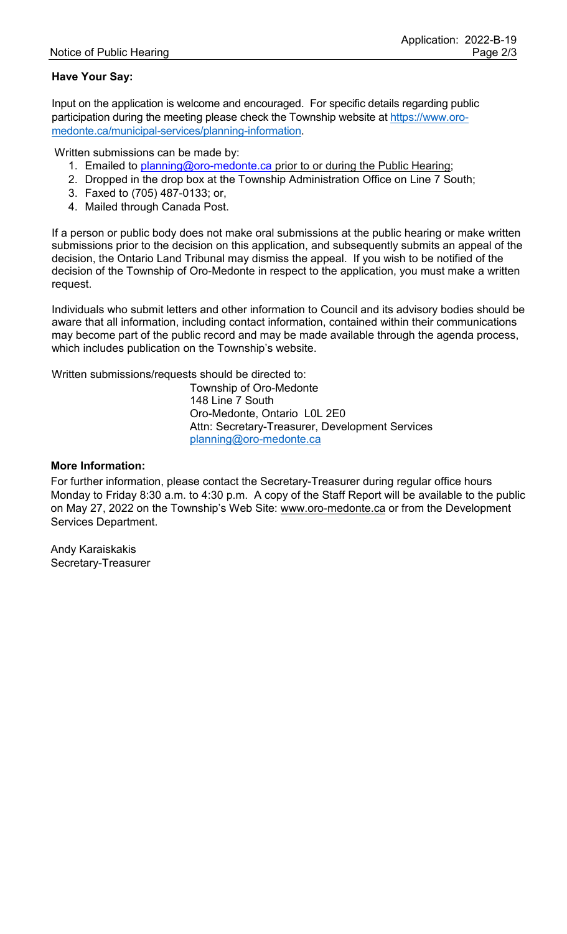### **Have Your Say:**

Input on the application is welcome and encouraged. For specific details regarding public participation during the meeting please check the Township website at [https://www.oro](https://www.oro-medonte.ca/municipal-services/planning-information)[medonte.ca/municipal-services/planning-information.](https://www.oro-medonte.ca/municipal-services/planning-information)

Written submissions can be made by:

- 1. Emailed to [planning@oro-medonte.ca](mailto:planning@oro-medonte.ca) prior to or during the Public Hearing;
- 2. Dropped in the drop box at the Township Administration Office on Line 7 South;
- 3. Faxed to (705) 487-0133; or,
- 4. Mailed through Canada Post.

If a person or public body does not make oral submissions at the public hearing or make written submissions prior to the decision on this application, and subsequently submits an appeal of the decision, the Ontario Land Tribunal may dismiss the appeal. If you wish to be notified of the decision of the Township of Oro-Medonte in respect to the application, you must make a written request.

Individuals who submit letters and other information to Council and its advisory bodies should be aware that all information, including contact information, contained within their communications may become part of the public record and may be made available through the agenda process, which includes publication on the Township's website.

Written submissions/requests should be directed to:

Township of Oro-Medonte 148 Line 7 South Oro-Medonte, Ontario L0L 2E0 Attn: Secretary-Treasurer, Development Services [planning@oro-medonte.ca](mailto:planning@oro-medonte.ca)

#### **More Information:**

For further information, please contact the Secretary-Treasurer during regular office hours Monday to Friday 8:30 a.m. to 4:30 p.m. A copy of the Staff Report will be available to the public on May 27, 2022 on the Township's Web Site: [www.oro-medonte.ca](http://www.oro-medonte.ca/) or from the Development Services Department.

Andy Karaiskakis Secretary-Treasurer